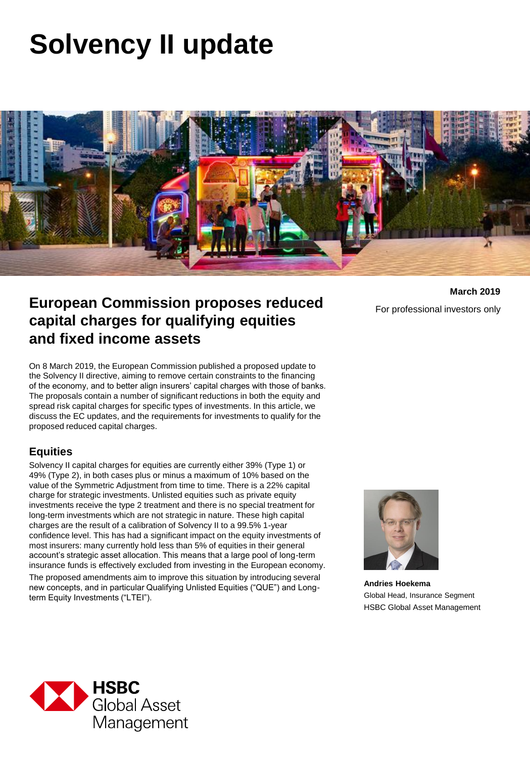# **Solvency II update**



## **European Commission proposes reduced capital charges for qualifying equities and fixed income assets**

For professional investors only

**March 2019**

On 8 March 2019, the European Commission published a proposed update to the Solvency II directive, aiming to remove certain constraints to the financing of the economy, and to better align insurers' capital charges with those of banks. The proposals contain a number of significant reductions in both the equity and spread risk capital charges for specific types of investments. In this article, we discuss the EC updates, and the requirements for investments to qualify for the proposed reduced capital charges.

#### **Equities**

Solvency II capital charges for equities are currently either 39% (Type 1) or 49% (Type 2), in both cases plus or minus a maximum of 10% based on the value of the Symmetric Adjustment from time to time. There is a 22% capital charge for strategic investments. Unlisted equities such as private equity investments receive the type 2 treatment and there is no special treatment for long-term investments which are not strategic in nature. These high capital charges are the result of a calibration of Solvency II to a 99.5% 1-year confidence level. This has had a significant impact on the equity investments of most insurers: many currently hold less than 5% of equities in their general account's strategic asset allocation. This means that a large pool of long-term insurance funds is effectively excluded from investing in the European economy. The proposed amendments aim to improve this situation by introducing several new concepts, and in particular Qualifying Unlisted Equities ("QUE") and Longterm Equity Investments ("LTEI").



**Andries Hoekema** Global Head, Insurance Segment HSBC Global Asset Management

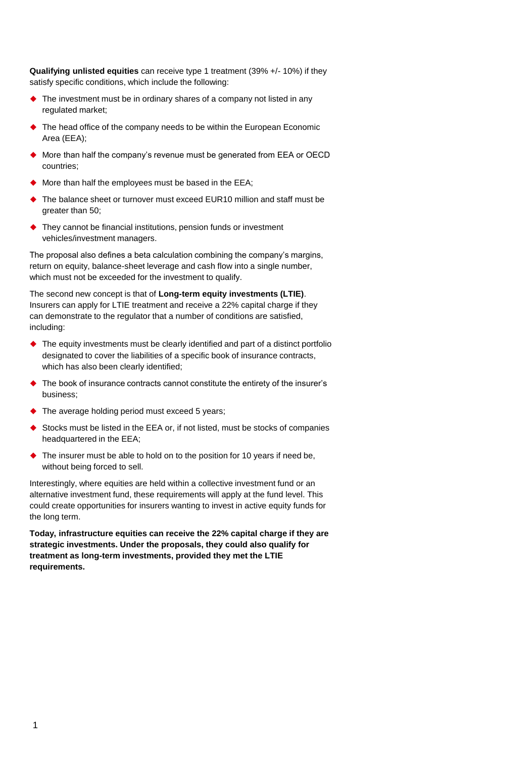**Qualifying unlisted equities** can receive type 1 treatment (39% +/- 10%) if they satisfy specific conditions, which include the following:

- ◆ The investment must be in ordinary shares of a company not listed in any regulated market;
- ◆ The head office of the company needs to be within the European Economic Area (EEA);
- ◆ More than half the company's revenue must be generated from EEA or OECD countries;
- More than half the employees must be based in the EEA;
- ◆ The balance sheet or turnover must exceed EUR10 million and staff must be greater than 50;
- ◆ They cannot be financial institutions, pension funds or investment vehicles/investment managers.

The proposal also defines a beta calculation combining the company's margins, return on equity, balance-sheet leverage and cash flow into a single number, which must not be exceeded for the investment to qualify.

The second new concept is that of **Long-term equity investments (LTIE)**. Insurers can apply for LTIE treatment and receive a 22% capital charge if they can demonstrate to the regulator that a number of conditions are satisfied, including:

- The equity investments must be clearly identified and part of a distinct portfolio designated to cover the liabilities of a specific book of insurance contracts, which has also been clearly identified;
- ◆ The book of insurance contracts cannot constitute the entirety of the insurer's business;
- ◆ The average holding period must exceed 5 years;
- ◆ Stocks must be listed in the EEA or, if not listed, must be stocks of companies headquartered in the EEA;
- ◆ The insurer must be able to hold on to the position for 10 years if need be, without being forced to sell.

Interestingly, where equities are held within a collective investment fund or an alternative investment fund, these requirements will apply at the fund level. This could create opportunities for insurers wanting to invest in active equity funds for the long term.

**Today, infrastructure equities can receive the 22% capital charge if they are strategic investments. Under the proposals, they could also qualify for treatment as long-term investments, provided they met the LTIE requirements.**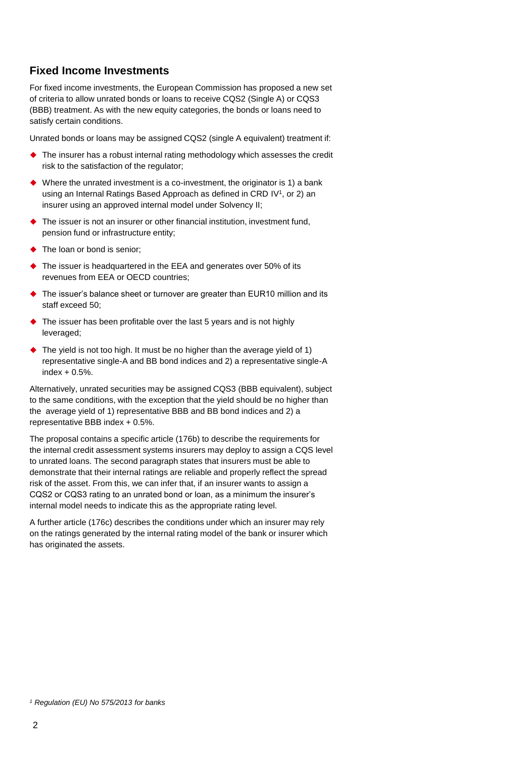#### **Fixed Income Investments**

For fixed income investments, the European Commission has proposed a new set of criteria to allow unrated bonds or loans to receive CQS2 (Single A) or CQS3 (BBB) treatment. As with the new equity categories, the bonds or loans need to satisfy certain conditions.

Unrated bonds or loans may be assigned CQS2 (single A equivalent) treatment if:

- The insurer has a robust internal rating methodology which assesses the credit risk to the satisfaction of the regulator;
- Where the unrated investment is a co-investment, the originator is 1) a bank using an Internal Ratings Based Approach as defined in CRD IV<sup>1</sup>, or 2) an insurer using an approved internal model under Solvency II;
- The issuer is not an insurer or other financial institution, investment fund, pension fund or infrastructure entity;
- ◆ The loan or bond is senior;
- ◆ The issuer is headquartered in the EEA and generates over 50% of its revenues from EEA or OECD countries;
- The issuer's balance sheet or turnover are greater than EUR10 million and its staff exceed 50;
- ◆ The issuer has been profitable over the last 5 years and is not highly leveraged;
- ◆ The yield is not too high. It must be no higher than the average yield of 1) representative single-A and BB bond indices and 2) a representative single-A index  $+0.5%$ .

Alternatively, unrated securities may be assigned CQS3 (BBB equivalent), subject to the same conditions, with the exception that the yield should be no higher than the average yield of 1) representative BBB and BB bond indices and 2) a representative BBB index + 0.5%.

The proposal contains a specific article (176b) to describe the requirements for the internal credit assessment systems insurers may deploy to assign a CQS level to unrated loans. The second paragraph states that insurers must be able to demonstrate that their internal ratings are reliable and properly reflect the spread risk of the asset. From this, we can infer that, if an insurer wants to assign a CQS2 or CQS3 rating to an unrated bond or loan, as a minimum the insurer's internal model needs to indicate this as the appropriate rating level.

A further article (176c) describes the conditions under which an insurer may rely on the ratings generated by the internal rating model of the bank or insurer which has originated the assets.

*<sup>1</sup> Regulation (EU) No 575/2013 for banks*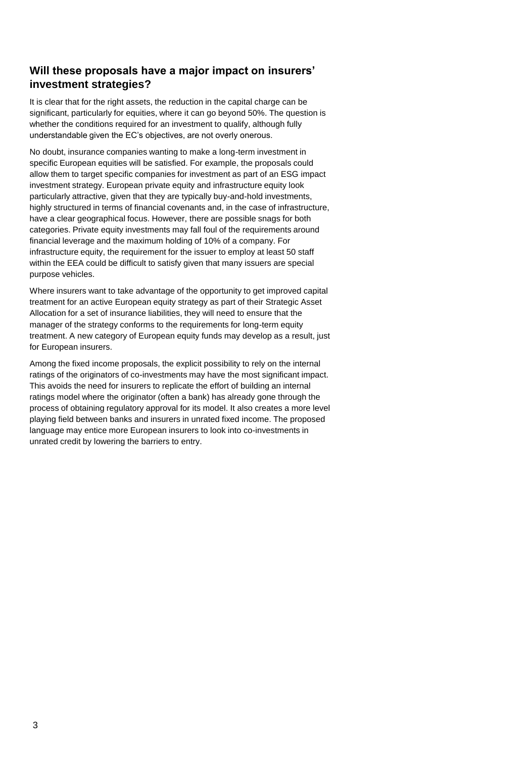### **Will these proposals have a major impact on insurers' investment strategies?**

It is clear that for the right assets, the reduction in the capital charge can be significant, particularly for equities, where it can go beyond 50%. The question is whether the conditions required for an investment to qualify, although fully understandable given the EC's objectives, are not overly onerous.

No doubt, insurance companies wanting to make a long-term investment in specific European equities will be satisfied. For example, the proposals could allow them to target specific companies for investment as part of an ESG impact investment strategy. European private equity and infrastructure equity look particularly attractive, given that they are typically buy-and-hold investments, highly structured in terms of financial covenants and, in the case of infrastructure, have a clear geographical focus. However, there are possible snags for both categories. Private equity investments may fall foul of the requirements around financial leverage and the maximum holding of 10% of a company. For infrastructure equity, the requirement for the issuer to employ at least 50 staff within the EEA could be difficult to satisfy given that many issuers are special purpose vehicles.

Where insurers want to take advantage of the opportunity to get improved capital treatment for an active European equity strategy as part of their Strategic Asset Allocation for a set of insurance liabilities, they will need to ensure that the manager of the strategy conforms to the requirements for long-term equity treatment. A new category of European equity funds may develop as a result, just for European insurers.

Among the fixed income proposals, the explicit possibility to rely on the internal ratings of the originators of co-investments may have the most significant impact. This avoids the need for insurers to replicate the effort of building an internal ratings model where the originator (often a bank) has already gone through the process of obtaining regulatory approval for its model. It also creates a more level playing field between banks and insurers in unrated fixed income. The proposed language may entice more European insurers to look into co-investments in unrated credit by lowering the barriers to entry.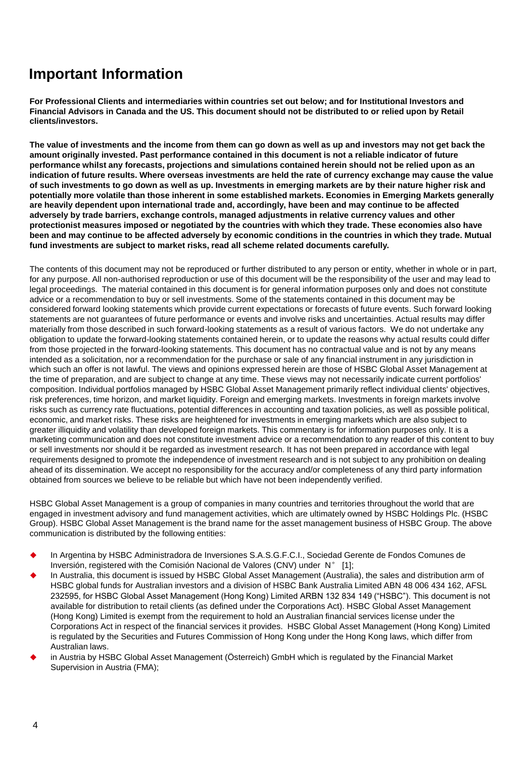## **Important Information**

**For Professional Clients and intermediaries within countries set out below; and for Institutional Investors and Financial Advisors in Canada and the US. This document should not be distributed to or relied upon by Retail clients/investors.**

**The value of investments and the income from them can go down as well as up and investors may not get back the amount originally invested. Past performance contained in this document is not a reliable indicator of future performance whilst any forecasts, projections and simulations contained herein should not be relied upon as an indication of future results. Where overseas investments are held the rate of currency exchange may cause the value of such investments to go down as well as up. Investments in emerging markets are by their nature higher risk and potentially more volatile than those inherent in some established markets. Economies in Emerging Markets generally are heavily dependent upon international trade and, accordingly, have been and may continue to be affected adversely by trade barriers, exchange controls, managed adjustments in relative currency values and other protectionist measures imposed or negotiated by the countries with which they trade. These economies also have been and may continue to be affected adversely by economic conditions in the countries in which they trade. Mutual fund investments are subject to market risks, read all scheme related documents carefully.**

The contents of this document may not be reproduced or further distributed to any person or entity, whether in whole or in part, for any purpose. All non-authorised reproduction or use of this document will be the responsibility of the user and may lead to legal proceedings. The material contained in this document is for general information purposes only and does not constitute advice or a recommendation to buy or sell investments. Some of the statements contained in this document may be considered forward looking statements which provide current expectations or forecasts of future events. Such forward looking statements are not guarantees of future performance or events and involve risks and uncertainties. Actual results may differ materially from those described in such forward-looking statements as a result of various factors. We do not undertake any obligation to update the forward-looking statements contained herein, or to update the reasons why actual results could differ from those projected in the forward-looking statements. This document has no contractual value and is not by any means intended as a solicitation, nor a recommendation for the purchase or sale of any financial instrument in any jurisdiction in which such an offer is not lawful. The views and opinions expressed herein are those of HSBC Global Asset Management at the time of preparation, and are subject to change at any time. These views may not necessarily indicate current portfolios' composition. Individual portfolios managed by HSBC Global Asset Management primarily reflect individual clients' objectives, risk preferences, time horizon, and market liquidity. Foreign and emerging markets. Investments in foreign markets involve risks such as currency rate fluctuations, potential differences in accounting and taxation policies, as well as possible political, economic, and market risks. These risks are heightened for investments in emerging markets which are also subject to greater illiquidity and volatility than developed foreign markets. This commentary is for information purposes only. It is a marketing communication and does not constitute investment advice or a recommendation to any reader of this content to buy or sell investments nor should it be regarded as investment research. It has not been prepared in accordance with legal requirements designed to promote the independence of investment research and is not subject to any prohibition on dealing ahead of its dissemination. We accept no responsibility for the accuracy and/or completeness of any third party information obtained from sources we believe to be reliable but which have not been independently verified.

HSBC Global Asset Management is a group of companies in many countries and territories throughout the world that are engaged in investment advisory and fund management activities, which are ultimately owned by HSBC Holdings Plc. (HSBC Group). HSBC Global Asset Management is the brand name for the asset management business of HSBC Group. The above communication is distributed by the following entities:

- In Argentina by HSBC Administradora de Inversiones S.A.S.G.F.C.I., Sociedad Gerente de Fondos Comunes de Inversión, registered with the Comisión Nacional de Valores (CNV) under N° [1];
- In Australia, this document is issued by HSBC Global Asset Management (Australia), the sales and distribution arm of HSBC global funds for Australian investors and a division of HSBC Bank Australia Limited ABN 48 006 434 162, AFSL 232595, for HSBC Global Asset Management (Hong Kong) Limited ARBN 132 834 149 ("HSBC"). This document is not available for distribution to retail clients (as defined under the Corporations Act). HSBC Global Asset Management (Hong Kong) Limited is exempt from the requirement to hold an Australian financial services license under the Corporations Act in respect of the financial services it provides. HSBC Global Asset Management (Hong Kong) Limited is regulated by the Securities and Futures Commission of Hong Kong under the Hong Kong laws, which differ from Australian laws.
- in Austria by HSBC Global Asset Management (Österreich) GmbH which is regulated by the Financial Market Supervision in Austria (FMA);